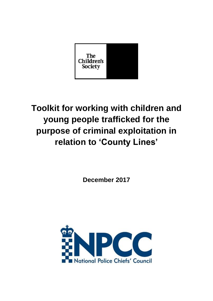

# **Toolkit for working with children and young people trafficked for the purpose of criminal exploitation in relation to 'County Lines'**

**December 2017**

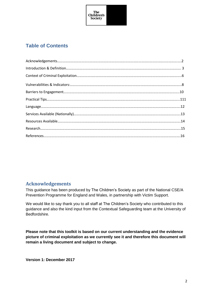

# <span id="page-1-0"></span>**Table of Contents**

#### **Acknowledgements**

This guidance has been produced by The Children"s Society as part of the National CSE/A Prevention Programme for England and Wales, in partnership with Victim Support.

We would like to say thank you to all staff at The Children's Society who contributed to this guidance and also the kind input from the Contextual Safeguarding team at the University of Bedfordshire.

**Please note that this toolkit is based on our current understanding and the evidence picture of criminal exploitation as we currently see it and therefore this document will remain a living document and subject to change.** 

**Version 1: December 2017**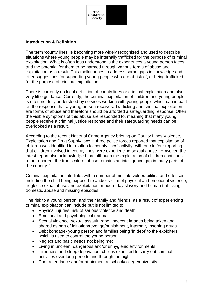

#### <span id="page-2-0"></span>**[Introduction & Definition](#page-1-0)**

The term "county lines" is becoming more widely recognised and used to describe situations where young people may be internally trafficked for the purpose of criminal exploitation. What is often less understood is the experiences a young person faces and the potential for them to be harmed through various forms of abuse and exploitation as a result. This toolkit hopes to address some gaps in knowledge and offer suggestions for supporting young people who are at risk of, or being trafficked for the purpose of criminal exploitation.

There is currently no legal definition of county lines or criminal exploitation and also very little guidance. Currently, the criminal exploitation of children and young people is often not fully understood by services working with young people which can impact on the response that a young person receives. Trafficking and criminal exploitation are forms of abuse and therefore should be afforded a safeguarding response. Often the visible symptoms of this abuse are responded to, meaning that many young people receive a criminal justice response and their safeguarding needs can be overlooked as a result.

According to the recent National Crime Agency briefing on County Lines Violence, Exploitation and Drug Supply, two in three police forces reported that exploitation of children was identified in relation to "county lines" activity, with one in four reporting that children involved in county lines were experiencing sexual abuse. However, the latest report also acknowledged that although the exploitation of children continues to be reported, the true scale of abuse remains an intelligence gap in many parts of the country. $<sup>1</sup>$ </sup>

Criminal exploitation interlinks with a number of multiple vulnerabilities and offences including the child being exposed to and/or victim of physical and emotional violence, neglect, sexual abuse and exploitation, modern day slavery and human trafficking, domestic abuse and missing episodes.

The risk to a young person, and their family and friends, as a result of experiencing criminal exploitation can include but is not limited to:

- Physical injuries: risk of serious violence and death
- Emotional and psychological trauma
- Sexual violence: sexual assault, rape, indecent images being taken and shared as part of initiation/revenge/punishment, internally inserting drugs
- Debt bondage- young person and families being 'in debt' to the exploiters; which is used to control the young person.
- Neglect and basic needs not being met
- Living in unclean, dangerous and/or unhygienic environments
- Tiredness and sleep deprivation: child is expected to carry out criminal activities over long periods and through the night
- Poor attendance and/or attainment at school/college/university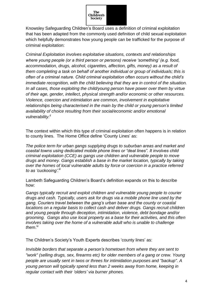

Knowsley Safeguarding Children"s Board uses a definition of criminal exploitation that has been adapted from the commonly used definition of child sexual exploitation which helpfully demonstrates how young people can be trafficked for the purpose of criminal exploitation:

*Criminal Exploitation involves exploitative situations, contexts and relationships where young people (or a third person or persons) receive "something" (e.g. food, accommodation, drugs, alcohol, cigarettes, affection, gifts, money) as a result of them completing a task on behalf of another individual or group of individuals; this is often of a criminal nature. Child criminal exploitation often occurs without the child"s immediate recognition, with the child believing that they are in control of the situation. In all cases, those exploiting the child/young person have power over them by virtue of their age, gender, intellect, physical strength and/or economic or other resources. Violence, coercion and intimidation are common, involvement in exploitative relationships being characterised in the main by the child or young person"s limited availability of choice resulting from their social/economic and/or emotional vulnerability.ii*

The context within which this type of criminal exploitation often happens is in relation to county lines. The Home Office define "County Lines" as:

*The police term for urban gangs supplying drugs to suburban areas and market and coastal towns using dedicated mobile phone lines or "deal lines". It involves child criminal exploitation (CCE) as gangs use children and vulnerable people to move drugs and money. Gangs establish a base in the market location, typically by taking over the homes of local vulnerable adults by force or coercion in a practice referred to as "cuckooing".iii*

Lambeth Safeguarding Children's Board's definition expands on this to describe how:

*Gangs typically recruit and exploit children and vulnerable young people to courier drugs and cash. Typically, users ask for drugs via a mobile phone line used by the gang. Couriers travel between the gang"s urban base and the county or coastal locations on a regular basis to collect cash and deliver drugs. Gangs recruit children and young people through deception, intimidation, violence, debt bondage and/or grooming. Gangs also use local property as a base for their activities, and this often involves taking over the home of a vulnerable adult who is unable to challenge them*. iv

The Children's Society's Youth Experts describes 'county lines' as:

*Invisible borders that separate a person"s hometown from where they are sent to "work" (selling drugs, sex, firearms etc) for older members of a gang or crew. Young people are usually sent in twos or threes for intimidation purposes and "backup". A young person will typically spend less than 2 weeks away from home, keeping in regular contact with their "olders" via burner phones.*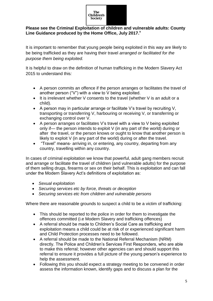

#### **Please see the Criminal Exploitation of children and vulnerable adults: County Line Guidance produced by the Home Office, July 2017. v**

It is important to remember that young people being exploited in this way are likely to be being trafficked as they are having their travel *arranged or facilitated for the purpose them being exploited.* 

It is helpful to draw on the definition of human trafficking in the Modern Slavery Act 2015 to understand this*:*

- A person commits an offence if the person arranges or facilitates the travel of another person ("V") with a view to V being exploited.
- It is irrelevant whether V consents to the travel (whether V is an adult or a child).
- A person may in particular arrange or facilitate V"s travel by recruiting V, transporting or transferring V, harbouring or receiving V, or transferring or exchanging control over V.
- A person arranges or facilitates V"s travel with a view to V being exploited only if— the person intends to exploit V (in any part of the world) during or after the travel, or the person knows or ought to know that another person is likely to exploit V (in any part of the world) during or after the travel.
- "Travel" means- arriving in, or entering, any country, departing from any country, travelling within any country.

In cases of criminal exploitation we know that powerful, adult gang members recruit and arrange or facilitate the travel of children (and vulnerable adults) for the purpose of them selling drugs, firearms or sex on their behalf. This is exploitation and can fall under the Modern Slavery Act's definitions of exploitation as:

- *Sexual exploitation*
- *Securing services etc by force, threats or deception*
- *Securing services etc from children and vulnerable persons*

Where there are reasonable grounds to suspect a child to be a victim of trafficking:

- This should be reported to the police in order for them to investigate the offences committed (i.e Modern Slavery and trafficking offences)
- A referral should be made to Children"s Social Care as trafficking and exploitation means a child could be at risk of or experienced significant harm and Child Protection processes need to be followed.
- A referral should be made to the National Referral Mechanism (NRM) directly. The Police and Children"s Services First Responders, who are able to make this referral; however other agencies can and should support this referral to ensure it provides a full picture of the young person"s experience to help the assessment.
- Following this you should expect a strategy meeting to be convened in order assess the information known, identify gaps and to discuss a plan for the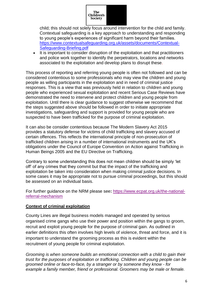

child; this should not solely focus around intervention for the child and family. Contextual safeguarding is a key approach to understanding and responding to young people"s experiences of significant harm beyond their families. [https://www.contextualsafeguarding.org.uk/assets/documents/Contextual-](https://www.contextualsafeguarding.org.uk/assets/documents/Contextual-Safeguarding-Briefing.pdf)[Safeguarding-Briefing.pdf](https://www.contextualsafeguarding.org.uk/assets/documents/Contextual-Safeguarding-Briefing.pdf)

• It is important to consider disruption of the exploitation and that practitioners and police work together to identify the perpetrators, locations and networks associated to the exploitation and develop plans to disrupt these.

This process of reporting and referring young people is often not followed and can be considered contentious to some professionals who may view the children and young people as willing participants in the exploitation and in need of criminal justice responses. This is a view that was previously held in relation to children and young people who experienced sexual exploitation and recent Serious Case Reviews have demonstrated the need to intervene and protect children and young people from exploitation. Until there is clear guidance to suggest otherwise we recommend that the steps suggested above should be followed in order to initiate appropriate investigations, safeguarding and support is provided for young people who are suspected to have been trafficked for the purpose of criminal exploitation.

It can also be consider contentious because The Modern Slavery Act 2015 provides a statutory defense for victims of child trafficking and slavery accused of certain offences. This reflects the international principle of non-prosecution of trafficked children arising in a number of international instruments and the UK"s obligations under the Council of Europe Convention on Action against Trafficking in Human Beings 2005 and the EU Directive on Trafficking.

Contrary to some understanding this does not mean children should be simply "let off" of any crimes that they commit but that the impact of the trafficking and exploitation be taken into consideration when making criminal justice decisions. In some cases it may be appropriate not to pursue criminal proceedings, but this should be assessed on an individual basis.

For further guidance on the NRM please see**:** [https://www.ecpat.org.uk/the-national](https://www.ecpat.org.uk/the-national-referral-mechanism)[referral-mechanism](https://www.ecpat.org.uk/the-national-referral-mechanism)

#### **Context of criminal exploitation**

County Lines are illegal business models managed and operated by serious organised crime gangs who use their power and position within the gangs to groom, recruit and exploit young people for the purpose of criminal gain. As outlined in earlier definitions this often involves high levels of violence, threat and force, and it is important to understand the grooming process as this is evident within the recruitment of young people for criminal exploitation.

*Grooming is when someone builds an emotional connection with a child to gain their trust for the purposes of exploitation or [trafficking.](https://www.nspcc.org.uk/preventing-abuse/child-abuse-and-neglect/child-trafficking/) Children and young people can be groomed online or face-to-face, by a stranger or by someone they know - for example a family member, friend or professional. Groomers may be male or female.*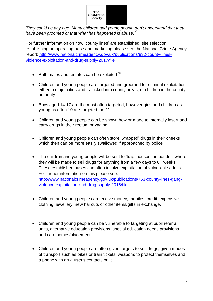

*They could be any age. Many children and young people don't understand that they have been groomed or that what has happened is abuse.vi*

For further information on how "county lines" are established; site selection, establishing an operating base and marketing please see the National Crime Agency report: [http://www.nationalcrimeagency.gov.uk/publications/832-county-lines](http://www.nationalcrimeagency.gov.uk/publications/832-county-lines-violence-exploitation-and-drug-supply-2017/file)[violence-exploitation-and-drug-supply-2017/file](http://www.nationalcrimeagency.gov.uk/publications/832-county-lines-violence-exploitation-and-drug-supply-2017/file)

- Both males and females can be exploited vil
- Children and young people are targeted and groomed for criminal exploitation either in major cities and trafficked into county areas, or children in the county authority
- Boys aged 14-17 are the most often targeted, however girls and children as young as often 10 are targeted too.<sup>viii</sup>
- Children and young people can be shown how or made to internally insert and carry drugs in their rectum or vagina
- Children and young people can often store 'wrapped' drugs in their cheeks which then can be more easily swallowed if approached by police
- The children and young people will be sent to 'trap' houses, or 'bandos' where they will be made to sell drugs for anything from a few days to 6+ weeks. These established bases can often involve exploitation of vulnerable adults. For further information on this please see: [http://www.nationalcrimeagency.gov.uk/publications/753-county-lines-gang](http://www.nationalcrimeagency.gov.uk/publications/753-county-lines-gang-violence-exploitation-and-drug-supply-2016/file)[violence-exploitation-and-drug-supply-2016/file](http://www.nationalcrimeagency.gov.uk/publications/753-county-lines-gang-violence-exploitation-and-drug-supply-2016/file)
- Children and young people can receive money, mobiles, credit, expensive clothing, jewellery, new haircuts or other items/gifts in exchange.
- Children and young people can be vulnerable to targeting at pupil referral units, alternative education provisions, special education needs provisions and care homes/placements.
- Children and young people are often given targets to sell drugs, given modes of transport such as bikes or train tickets, weapons to protect themselves and a phone with drug user"s contacts on it.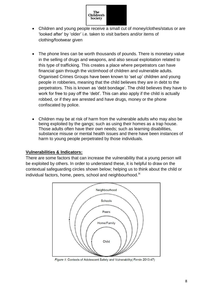

- Children and young people receive a small cut of money/clothes/status or are "looked after" by "older" i.e. taken to visit barbers and/or items of clothing/footwear given
- The phone lines can be worth thousands of pounds. There is monetary value in the selling of drugs and weapons, and also sexual exploitation related to this type of trafficking. This creates a place where perpetrators can have financial gain through the victimhood of children and vulnerable adults. Organised Crimes Groups have been known to "set up" children and young people in robberies, meaning that the child believes they are in debt to the perpetrators. This is known as "debt bondage". The child believes they have to work for free to pay off the "debt". This can also apply if the child is actually robbed, or if they are arrested and have drugs, money or the phone confiscated by police.
- Children may be at risk of harm from the vulnerable adults who may also be being exploited by the gangs; such as using their homes as a trap house. Those adults often have their own needs; such as learning disabilities, substance misuse or mental health issues and there have been instances of harm to young people perpetrated by those individuals.

#### <span id="page-7-0"></span>**Vulnerabilities & Indicators:**

There are some factors that can increase the vulnerability that a young person will be exploited by others. In order to understand these, it is helpful to draw on the contextual safeguarding circles shown below; helping us to think about the child or individual factors, home, peers, school and neighbourhood.<sup>ix</sup>



Figure 1: Contexts of Adolescent Safety and Vulnerability (Firmin 2013:47)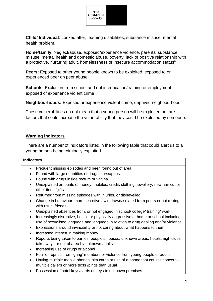

**Child/ Individual**: Looked after, learning disabilities, substance misuse, mental health problem.

**Home/family**: Neglect/abuse, exposed/experience violence, parental substance misuse, mental health and domestic abuse, poverty, lack of positive relationship with a protective, nurturing adult, homelessness or insecure accommodation status<sup>x</sup>

**Peers:** Exposed to other young people known to be exploited, exposed to or experienced peer on peer abuse,

**Schools**: Exclusion from school and not in education/training or employment, exposed of experience violent crime

**Neighbourhoods:** Exposed or experience violent crime, deprived neighbourhood

These vulnerabilities do not mean that a young person will be exploited but are factors that could increase the vulnerability that they could be exploited by someone.

#### **Warning indicators**

There are a number of indicators listed in the following table that could alert us to a young person being criminally exploited.

#### **Indicators**

- Frequent missing episodes and been found out of area
- Found with large quantities of drugs or weapons
- Found with drugs inside rectum or vagina
- Unexplained amounts of money, mobiles, credit, clothing, jewellery, new hair cut or other items/gifts
- Returned from missing episodes with injuries, or dishevelled
- Change in behaviour; more secretive / withdrawn/isolated from peers or not mixing with usual friends
- Unexplained absences from, or not engaged in school/ college/ training/ work
- Increasingly disruptive, hostile or physically aggressive at home or school Including use of sexualised language and language in relation to drug dealing and/or violence
- Expressions around invincibility or not caring about what happens to them
- Increased interest in making money
- Reports being taken to parties, people"s houses, unknown areas, hotels, nightclubs, takeaways or out of area by unknown adults
- Increasing use of drugs or alcohol
- Fear of reprisal from "gang" members or violence from young people or adults
- Having multiple mobile phones, sim cards or use of a phone that causes concern multiple callers or more texts /pings than usual
- Possession of hotel keys/cards or keys to unknown premises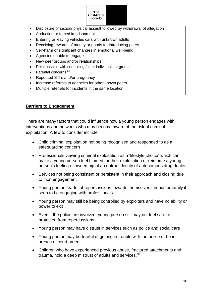

- Disclosure of sexual/ physical assault followed by withdrawal of allegation
- Abduction or forced imprisonment
- Entering or leaving vehicles cars with unknown adults
- Receiving rewards of money or goods for introducing peers
- Self-harm or significant changes in emotional well-being
- Agencies unable to engage
- New peer groups and/or relationships
- Relationships with controlling /older individuals or groups  $x$ <sup>i</sup>
- Parental concerns xii
- Repeated STI's and/or pregnancy
- Increase referrals to agencies for other known peers
- Multiple referrals for incidents in the same location

#### <span id="page-9-0"></span>**[Barriers to Engagement](#page-1-0)**

There are many factors that could influence how a young person engages with interventions and networks who may become aware of the risk of criminal exploitation. A few to consider include:

- Child criminal exploitation not being recognised and responded to as a safeguarding concern
- Professionals viewing criminal exploitation as a 'lifestyle choice' which can make a young person feel blamed for their exploitation or reinforce a young person"s feeling of ownership of an untrue identity of autonomous drug dealer.
- Services not being consistent or persistent in their approach and closing due to "non engagement"
- Young person fearful of repercussions towards themselves, friends or family if seen to be engaging with professionals
- Young person may still be being controlled by exploiters and have no ability or power to exit
- Even if the police are involved, young person still may not feel safe or protected from repercussions
- Young person may have distrust in services such as police and social care
- Young person may be fearful of getting in trouble with the police or be in breach of court order
- Children who have experienced previous abuse, fractured attachments and trauma, hold a deep mistrust of adults and services.<sup>xiii</sup>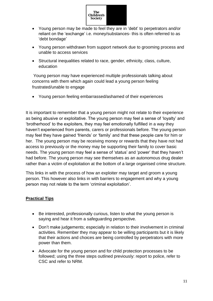

- Young person may be made to feel they are in 'debt' to perpetrators and/or reliant on the "exchange" i.e. money/substances- this is often referred to as 'debt bondage'
- Young person withdrawn from support network due to grooming process and unable to access services
- Structural inequalities related to race, gender, ethnicity, class, culture, education

Young person may have experienced multiple professionals talking about concerns with them which again could lead a young person feeling frustrated/unable to engage

Young person feeling embarrassed/ashamed of their experiences

It is important to remember that a young person might not relate to their experience as being abusive or exploitative. The young person may feel a sense of "loyalty" and "brotherhood" to the exploiters, they may feel emotionally fulfilled in a way they haven"t experienced from parents, carers or professionals before. The young person may feel they have gained "friends" or "family" and that these people care for him or her. The young person may be receiving money or rewards that they have not had access to previously or the money may be supporting their family to cover basic needs. The young person may feel a sense of "status" and "power" that they haven"t had before. The young person may see themselves as an autonomous drug dealer rather than a victim of exploitation at the bottom of a large organised crime structure.

This links in with the process of how an exploiter may target and groom a young person. This however also links in with barriers to engagement and why a young person may not relate to the term "criminal exploitation".

#### <span id="page-10-0"></span>**[Practical Tips](#page-1-0)**

- Be interested, professionally curious, listen to what the young person is saying and hear it from a safeguarding perspective.
- Don"t make judgements; especially in relation to their involvement in criminal activities. Remember they may appear to be willing participants but it is likely that their actions and choices are being controlled by perpetrators with more power than them.
- Advocate for the young person and for child protection processes to be followed; using the three steps outlined previously: report to police, refer to CSC and refer to NRM.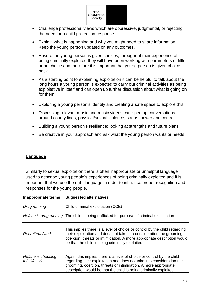

- Challenge professional views which are oppressive, judgmental, or rejecting the need for a child protection response.
- Explain what is happening and why you might need to share information. Keep the young person updated on any outcomes.
- Ensure the young person is given choices; throughout their experience of being criminally exploited they will have been working with parameters of little or no choice and therefore it is important that young person is given choice back
- As a starting point to explaining exploitation it can be helpful to talk about the long hours a young person is expected to carry out criminal activities as being exploitative in itself and can open up further discussion about what is going on for them.
- Exploring a young person"s identity and creating a safe space to explore this
- Discussing relevant music and music videos can open up conversations around county lines, physical/sexual violence, status, power and control
- Building a young person's resilience; looking at strengths and future plans
- Be creative in your approach and ask what the young person wants or needs.

#### <span id="page-11-0"></span>**[Language](#page-1-0)**

Similarly to sexual exploitation there is often inappropriate or unhelpful language used to describe young people"s experiences of being criminally exploited and it is important that we use the right language in order to influence proper recognition and responses for the young people.

| Inappropriate terms                  | <b>Suggested alternatives</b>                                                                                                                                                                                                                                                            |
|--------------------------------------|------------------------------------------------------------------------------------------------------------------------------------------------------------------------------------------------------------------------------------------------------------------------------------------|
| Drug running                         | Child criminal exploitation (CCE)<br>He/she is drug running The child is being trafficked for purpose of criminal exploitation                                                                                                                                                           |
| Recruit/run/work                     | This implies there is a level of choice or control by the child regarding<br>their exploitation and does not take into consideration the grooming,<br>coercion, threats or intimidation. A more appropriate description would<br>be that the child is being criminally exploited.        |
| He/she is choosing<br>this lifestyle | Again, this implies there is a level of choice or control by the child<br>regarding their exploitation and does not take into consideration the<br>grooming, coercion, threats or intimidation. A more appropriate<br>description would be that the child is being criminally exploited. |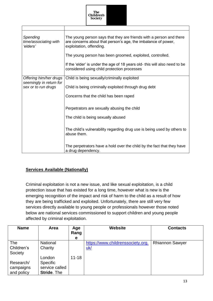

| Spending<br>time/associating with<br>'elders'     | The young person says that they are friends with a person and there<br>are concerns about that person's age, the imbalance of power,<br>exploitation, offending. |  |  |
|---------------------------------------------------|------------------------------------------------------------------------------------------------------------------------------------------------------------------|--|--|
|                                                   | The young person has been groomed, exploited, controlled.                                                                                                        |  |  |
|                                                   | If the 'elder' is under the age of 18 years old- this will also need to be<br>considered using child protection processes                                        |  |  |
| Offering him/her drugs<br>seemingly in return for | Child is being sexually/criminally exploited                                                                                                                     |  |  |
| sex or to run drugs                               | Child is being criminally exploited through drug debt                                                                                                            |  |  |
|                                                   | Concerns that the child has been raped                                                                                                                           |  |  |
|                                                   | Perpetrators are sexually abusing the child                                                                                                                      |  |  |
|                                                   | The child is being sexually abused                                                                                                                               |  |  |
|                                                   | The child's vulnerability regarding drug use is being used by others to<br>abuse them.                                                                           |  |  |
|                                                   | The perpetrators have a hold over the child by the fact that they have<br>a drug dependency.                                                                     |  |  |

#### <span id="page-12-0"></span>**[Services Available \(Nationally\)](#page-1-0)**

 $\overline{\phantom{a}}$ 

 $\sqrt{ }$ 

Criminal exploitation is not a new issue, and like sexual exploitation, is a child protection issue that has existed for a long time, however what is new is the emerging recognition of the impact and risk of harm to the child as a result of how they are being trafficked and exploited. Unfortunately, there are still very few services directly available to young people or professionals however those noted below are national services commissioned to support children and young people affected by criminal exploitation.

| <b>Name</b>                          | Area                                                              | Age<br>Rang<br>е | <b>Website</b>                                  | <b>Contacts</b>        |
|--------------------------------------|-------------------------------------------------------------------|------------------|-------------------------------------------------|------------------------|
| The<br>Children's<br>Society         | <b>National</b><br>Charity                                        |                  | https://www.childrenssociety.org.<br><u>uk/</u> | <b>Rhiannon Sawyer</b> |
| Research/<br>campaigns<br>and policy | London<br><b>Specific</b><br>service called<br><b>Stride. The</b> | $11 - 18$        |                                                 |                        |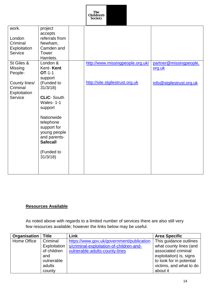

| work.          | project                                                                           |                                  |                          |
|----------------|-----------------------------------------------------------------------------------|----------------------------------|--------------------------|
|                | accepts                                                                           |                                  |                          |
| London         | referrals from                                                                    |                                  |                          |
| Criminal       | Newham,                                                                           |                                  |                          |
| Exploitation   | Camden and                                                                        |                                  |                          |
| Service        | Tower                                                                             |                                  |                          |
|                | Hamlets.                                                                          |                                  |                          |
| St Giles &     | London &                                                                          | http://www.missingpeople.org.uk/ | partner@missingpeople.   |
| <b>Missing</b> | Kent-Kent                                                                         |                                  | org.uk                   |
| People-        | $OT-1-1$                                                                          |                                  |                          |
|                | support                                                                           |                                  |                          |
| County lines/  | (Funded to                                                                        | http://site.stgilestrust.org.uk  | info@stgilestrust.org.uk |
| Criminal       | 31/3/18                                                                           |                                  |                          |
| Exploitation   |                                                                                   |                                  |                          |
| Service        | <b>CLiC-South</b>                                                                 |                                  |                          |
|                | Wales-1-1                                                                         |                                  |                          |
|                | support                                                                           |                                  |                          |
|                |                                                                                   |                                  |                          |
|                | Nationwide                                                                        |                                  |                          |
|                |                                                                                   |                                  |                          |
|                |                                                                                   |                                  |                          |
|                |                                                                                   |                                  |                          |
|                |                                                                                   |                                  |                          |
|                | <b>Safecall</b>                                                                   |                                  |                          |
|                |                                                                                   |                                  |                          |
|                |                                                                                   |                                  |                          |
|                |                                                                                   |                                  |                          |
|                |                                                                                   |                                  |                          |
|                |                                                                                   |                                  |                          |
|                |                                                                                   |                                  |                          |
|                | telephone<br>support for<br>young people<br>and parents-<br>(Funded to<br>31/3/18 |                                  |                          |

# <span id="page-13-0"></span>**[Resources Available](#page-1-0)**

As noted above with regards to a limited number of services there are also still very few resources available; however the links below may be useful.

| Organisation | <b>Title</b> | Link                                      | <b>Area Specific</b>     |
|--------------|--------------|-------------------------------------------|--------------------------|
| Home Office  | Criminal     | https://www.gov.uk/government/publication | This guidance outlines   |
|              | Exploitation | s/criminal-exploitation-of-children-and-  | what county lines (and   |
|              | of children  | vulnerable-adults-county-lines            | associated criminal      |
|              | and          |                                           | exploitation) is, signs  |
|              | vulnerable   |                                           | to look for in potential |
|              | adults       |                                           | victims, and what to do  |
|              | county       |                                           | about it                 |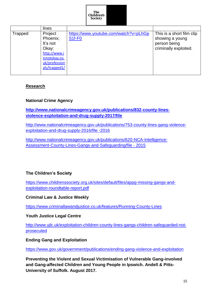

|         | lines         |                                       |                           |
|---------|---------------|---------------------------------------|---------------------------|
| Trapped | Project       | https://www.youtube.com/watch?v=pLhGp | This is a short film clip |
|         | Phoenix;      | S <sub>1f-FO</sub>                    | showing a young           |
|         | It's not      |                                       | person being              |
|         | Okay:         |                                       | criminally exploited.     |
|         | http://www.i  |                                       |                           |
|         | tsnotokay.co. |                                       |                           |
|         | uk/profession |                                       |                           |
|         | als/trapped1/ |                                       |                           |
|         |               |                                       |                           |

### <span id="page-14-0"></span>**[Research](#page-1-0)**

#### **National Crime Agency**

## **[http://www.nationalcrimeagency.gov.uk/publications/832-county-lines](http://www.nationalcrimeagency.gov.uk/publications/832-county-lines-violence-exploitation-and-drug-supply-2017/file)[violence-exploitation-and-drug-supply-2017/file](http://www.nationalcrimeagency.gov.uk/publications/832-county-lines-violence-exploitation-and-drug-supply-2017/file)**

[http://www.nationalcrimeagency.gov.uk/publications/753-county-lines-gang-violence](http://www.nationalcrimeagency.gov.uk/publications/753-county-lines-gang-violence-exploitation-and-drug-supply-2016/file%20-2016)[exploitation-and-drug-supply-2016/file](http://www.nationalcrimeagency.gov.uk/publications/753-county-lines-gang-violence-exploitation-and-drug-supply-2016/file%20-2016) -2016

[http://www.nationalcrimeagency.gov.uk/publications/620-NCA-Intelligence-](http://www.nationalcrimeagency.gov.uk/publications/620-NCA-Intelligence-Assessment-County-Lines-Gangs-and-Safeguarding/file%20-%202015)[Assessment-County-Lines-Gangs-and-Safeguarding/file -](http://www.nationalcrimeagency.gov.uk/publications/620-NCA-Intelligence-Assessment-County-Lines-Gangs-and-Safeguarding/file%20-%202015) 2015

#### **The Children's Society**

[https://www.childrenssociety.org.uk/sites/default/files/appg-missing-gangs-and](https://www.childrenssociety.org.uk/sites/default/files/appg-missing-gangs-and-exploitation-roundtable-report.pdf)[exploitation-roundtable-report.pdf](https://www.childrenssociety.org.uk/sites/default/files/appg-missing-gangs-and-exploitation-roundtable-report.pdf)

#### **Criminal Law & Justice Weekly**

<https://www.criminallawandjustice.co.uk/features/Running-County-Lines>

#### **Youth Justice Legal Centre**

[http://www.yjlc.uk/exploitation-children-county-lines-gangs-children-safeguarded-not](http://www.yjlc.uk/exploitation-children-county-lines-gangs-children-safeguarded-not-prosecuted)[prosecuted](http://www.yjlc.uk/exploitation-children-county-lines-gangs-children-safeguarded-not-prosecuted)

#### **Ending Gang and Exploitation**

<https://www.gov.uk/government/publications/ending-gang-violence-and-exploitation>

**Preventing the Violent and Sexual Victimisation of Vulnerable Gang-involved and Gang-affected Children and Young People in Ipswich. Andell & Pitts-University of Suffolk. August 2017.**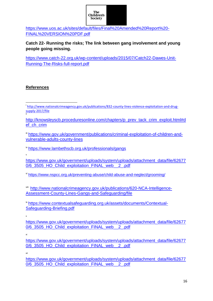

[https://www.uos.ac.uk/sites/default/files/Final%20Amended%20Report%20-](https://www.uos.ac.uk/sites/default/files/Final%20Amended%20Report%20-FINAL%20VERSION%20PDF.pdf) [FINAL%20VERSION%20PDF.pdf](https://www.uos.ac.uk/sites/default/files/Final%20Amended%20Report%20-FINAL%20VERSION%20PDF.pdf)

**Catch 22- Running the risks; The link between gang involvement and young people going missing.**

[https://www.catch-22.org.uk/wp-content/uploads/2015/07/Catch22-Dawes-Unit-](https://www.catch-22.org.uk/wp-content/uploads/2015/07/Catch22-Dawes-Unit-Running-The-Risks-full-report.pdf)[Running-The-Risks-full-report.pdf](https://www.catch-22.org.uk/wp-content/uploads/2015/07/Catch22-Dawes-Unit-Running-The-Risks-full-report.pdf)

## <span id="page-15-0"></span>**References**

iii [https://www.gov.uk/government/publications/criminal-exploitation-of-children-and](https://www.gov.uk/government/publications/criminal-exploitation-of-children-and-vulnerable-adults-county-lines)[vulnerable-adults-county-lines](https://www.gov.uk/government/publications/criminal-exploitation-of-children-and-vulnerable-adults-county-lines)

iv <https://www.lambethscb.org.uk/professionals/gangs>

[https://www.gov.uk/government/uploads/system/uploads/attachment\\_data/file/62677](https://www.gov.uk/government/uploads/system/uploads/attachment_data/file/626770/6_3505_HO_Child_exploitation_FINAL_web__2_.pdf) [0/6\\_3505\\_HO\\_Child\\_exploitation\\_FINAL\\_web\\_\\_2\\_.pdf](https://www.gov.uk/government/uploads/system/uploads/attachment_data/file/626770/6_3505_HO_Child_exploitation_FINAL_web__2_.pdf)

vi <https://www.nspcc.org.uk/preventing-abuse/child-abuse-and-neglect/grooming/>

viii [http://www.nationalcrimeagency.gov.uk/publications/620-NCA-Intelligence-](http://www.nationalcrimeagency.gov.uk/publications/620-NCA-Intelligence-Assessment-County-Lines-Gangs-and-Safeguarding/file)[Assessment-County-Lines-Gangs-and-Safeguarding/file](http://www.nationalcrimeagency.gov.uk/publications/620-NCA-Intelligence-Assessment-County-Lines-Gangs-and-Safeguarding/file)

ix [https://www.contextualsafeguarding.org.uk/assets/documents/Contextual-](https://www.contextualsafeguarding.org.uk/assets/documents/Contextual-Safeguarding-Briefing.pdf)[Safeguarding-Briefing.pdf](https://www.contextualsafeguarding.org.uk/assets/documents/Contextual-Safeguarding-Briefing.pdf)

x

v

[https://www.gov.uk/government/uploads/system/uploads/attachment\\_data/file/62677](https://www.gov.uk/government/uploads/system/uploads/attachment_data/file/626770/6_3505_HO_Child_exploitation_FINAL_web__2_.pdf) [0/6\\_3505\\_HO\\_Child\\_exploitation\\_FINAL\\_web\\_\\_2\\_.pdf](https://www.gov.uk/government/uploads/system/uploads/attachment_data/file/626770/6_3505_HO_Child_exploitation_FINAL_web__2_.pdf)

xi

[https://www.gov.uk/government/uploads/system/uploads/attachment\\_data/file/62677](https://www.gov.uk/government/uploads/system/uploads/attachment_data/file/626770/6_3505_HO_Child_exploitation_FINAL_web__2_.pdf) [0/6\\_3505\\_HO\\_Child\\_exploitation\\_FINAL\\_web\\_\\_2\\_.pdf](https://www.gov.uk/government/uploads/system/uploads/attachment_data/file/626770/6_3505_HO_Child_exploitation_FINAL_web__2_.pdf)

xii

[https://www.gov.uk/government/uploads/system/uploads/attachment\\_data/file/62677](https://www.gov.uk/government/uploads/system/uploads/attachment_data/file/626770/6_3505_HO_Child_exploitation_FINAL_web__2_.pdf) [0/6\\_3505\\_HO\\_Child\\_exploitation\\_FINAL\\_web\\_\\_2\\_.pdf](https://www.gov.uk/government/uploads/system/uploads/attachment_data/file/626770/6_3505_HO_Child_exploitation_FINAL_web__2_.pdf)

**<sup>.</sup>** <sup>i</sup>[http://www.nationalcrimeagency.gov.uk/publications/832-county-lines-violence-exploitation-and-drug](http://www.nationalcrimeagency.gov.uk/publications/832-county-lines-violence-exploitation-and-drug-supply-2017/file)[supply-2017/file](http://www.nationalcrimeagency.gov.uk/publications/832-county-lines-violence-exploitation-and-drug-supply-2017/file) ii

[http://knowsleyscb.proceduresonline.com/chapters/p\\_prev\\_tack\\_crim\\_exploit.html#d](http://knowsleyscb.proceduresonline.com/chapters/p_prev_tack_crim_exploit.html#def_ch_crim) [ef\\_ch\\_crim](http://knowsleyscb.proceduresonline.com/chapters/p_prev_tack_crim_exploit.html#def_ch_crim)